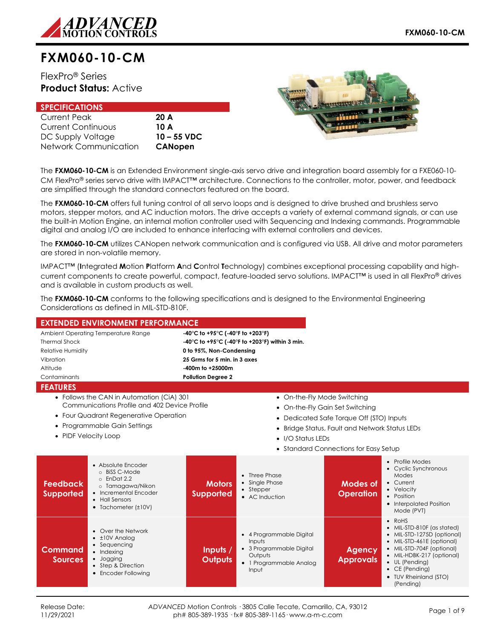

# **FXM060-10-CM**

# FlexPro® Series **Product Status:** Active

| <b>SPECIFICATIONS</b>     |                |
|---------------------------|----------------|
| <b>Current Peak</b>       | 20A            |
| <b>Current Continuous</b> | 10 A           |
| DC Supply Voltage         | $10 - 55$ VDC  |
| Network Communication     | <b>CANopen</b> |



The **FXM060-10-CM** is an Extended Environment single-axis servo drive and integration board assembly for a FXE060-10- CM FlexPro® series servo drive with IMPACT™ architecture. Connections to the controller, motor, power, and feedback are simplified through the standard connectors featured on the board.

The **FXM060-10-CM** offers full tuning control of all servo loops and is designed to drive brushed and brushless servo motors, stepper motors, and AC induction motors. The drive accepts a variety of external command signals, or can use the built-in Motion Engine, an internal motion controller used with Sequencing and Indexing commands. Programmable digital and analog I/O are included to enhance interfacing with external controllers and devices.

The **FXM060-10-CM** utilizes CANopen network communication and is configured via USB. All drive and motor parameters are stored in non-volatile memory.

IMPACT™ (**I**ntegrated **M**otion **P**latform **A**nd **C**ontrol **T**echnology) combines exceptional processing capability and highcurrent components to create powerful, compact, feature-loaded servo solutions. IMPACT™ is used in all FlexPro® drives and is available in custom products as well.

The **FXM060-10-CM** conforms to the following specifications and is designed to the Environmental Engineering Considerations as defined in MIL-STD-810F.

|                                                                                   | <b>EXTENDED ENVIRONMENT PERFORMANCE</b>                                                                                                                      |                                   |                                                                                                               |                                        |                                                                                                                                                                                                                                             |  |  |
|-----------------------------------------------------------------------------------|--------------------------------------------------------------------------------------------------------------------------------------------------------------|-----------------------------------|---------------------------------------------------------------------------------------------------------------|----------------------------------------|---------------------------------------------------------------------------------------------------------------------------------------------------------------------------------------------------------------------------------------------|--|--|
|                                                                                   | Ambient Operating Temperature Range<br>-40°C to +95°C (-40°F to +203°F)                                                                                      |                                   |                                                                                                               |                                        |                                                                                                                                                                                                                                             |  |  |
| <b>Thermal Shock</b>                                                              | -40°C to +95°C (-40°F to +203°F) within 3 min.                                                                                                               |                                   |                                                                                                               |                                        |                                                                                                                                                                                                                                             |  |  |
| <b>Relative Humidity</b>                                                          |                                                                                                                                                              | 0 to 95%, Non-Condensing          |                                                                                                               |                                        |                                                                                                                                                                                                                                             |  |  |
| Vibration                                                                         |                                                                                                                                                              | 25 Grms for 5 min. in 3 axes      |                                                                                                               |                                        |                                                                                                                                                                                                                                             |  |  |
| Altitude                                                                          |                                                                                                                                                              | -400m to +25000m                  |                                                                                                               |                                        |                                                                                                                                                                                                                                             |  |  |
| Contaminants                                                                      |                                                                                                                                                              | <b>Pollution Degree 2</b>         |                                                                                                               |                                        |                                                                                                                                                                                                                                             |  |  |
| <b>FEATURES</b>                                                                   |                                                                                                                                                              |                                   |                                                                                                               |                                        |                                                                                                                                                                                                                                             |  |  |
|                                                                                   | • Follows the CAN in Automation (CiA) 301                                                                                                                    |                                   | • On-the-Fly Mode Switching                                                                                   |                                        |                                                                                                                                                                                                                                             |  |  |
|                                                                                   | Communications Profile and 402 Device Profile                                                                                                                |                                   |                                                                                                               | • On-the-Fly Gain Set Switching        |                                                                                                                                                                                                                                             |  |  |
|                                                                                   | • Four Quadrant Regenerative Operation                                                                                                                       |                                   | $\bullet$                                                                                                     | Dedicated Safe Torque Off (STO) Inputs |                                                                                                                                                                                                                                             |  |  |
|                                                                                   | • Programmable Gain Settings                                                                                                                                 |                                   |                                                                                                               |                                        |                                                                                                                                                                                                                                             |  |  |
| Bridge Status, Fault and Network Status LEDs<br>$\bullet$<br>• PIDF Velocity Loop |                                                                                                                                                              |                                   |                                                                                                               |                                        |                                                                                                                                                                                                                                             |  |  |
|                                                                                   | • I/O Status LEDs                                                                                                                                            |                                   |                                                                                                               |                                        |                                                                                                                                                                                                                                             |  |  |
|                                                                                   |                                                                                                                                                              |                                   |                                                                                                               | • Standard Connections for Easy Setup  |                                                                                                                                                                                                                                             |  |  |
| <b>Feedback</b><br><b>Supported</b>                                               | • Absolute Encoder<br>o BiSS C-Mode<br>$\circ$ EnDat 2.2<br>o Tamagawa/Nikon<br>• Incremental Encoder<br>• Hall Sensors<br>$\bullet$ Tachometer ( $\pm$ 10V) | <b>Motors</b><br><b>Supported</b> | Three Phase<br>$\bullet$<br>• Single Phase<br>• Stepper<br>• AC Induction                                     | Modes of<br><b>Operation</b>           | • Profile Modes<br>• Cyclic Synchronous<br>Modes<br>• Current<br>• Velocity<br>• Position<br>• Interpolated Position<br>Mode (PVT)                                                                                                          |  |  |
| Command<br><b>Sources</b>                                                         | • Over the Network<br>$\cdot$ $\pm$ 10V Analog<br>• Sequencing<br>• Indexing<br>• Jogging<br>• Step & Direction<br>• Encoder Following                       | Inputs /<br><b>Outputs</b>        | • 4 Programmable Digital<br>Inputs<br>• 3 Programmable Digital<br>Outputs<br>• 1 Programmable Analog<br>Input | <b>Agency</b><br><b>Approvals</b>      | • RoHS<br>• MIL-STD-810F (as stated)<br>• MIL-STD-1275D (optional)<br>• MIL-STD-461E (optional)<br>• MIL-STD-704F (optional)<br>• MIL-HDBK-217 (optional)<br>• UL (Pending)<br>$\bullet$ CE (Pending)<br>• TUV Rheinland (STO)<br>(Pending) |  |  |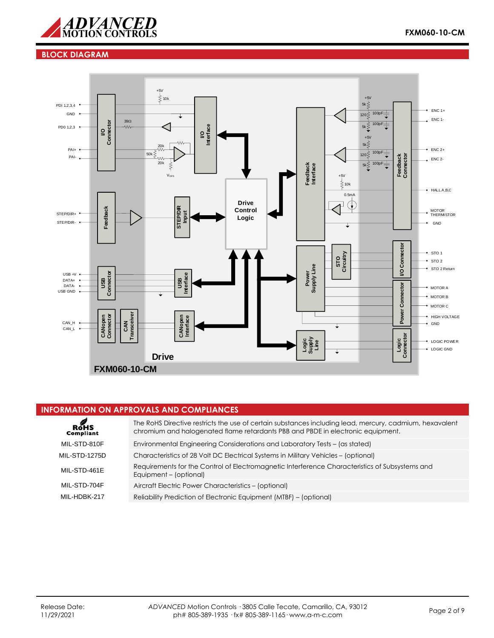

## **BLOCK DIAGRAM**



## **INFORMATION ON APPROVALS AND COMPLIANCES**

| ROHS<br>Compliant    | The RoHS Directive restricts the use of certain substances including lead, mercury, cadmium, hexavalent<br>chromium and halogenated flame retardants PBB and PBDE in electronic equipment. |
|----------------------|--------------------------------------------------------------------------------------------------------------------------------------------------------------------------------------------|
| MIL-STD-810F         | Environmental Engineering Considerations and Laboratory Tests – (as stated)                                                                                                                |
| <b>MIL-STD-1275D</b> | Characteristics of 28 Volt DC Electrical Systems in Military Vehicles – (optional)                                                                                                         |
| MIL-STD-461E         | Requirements for the Control of Electromagnetic Interference Characteristics of Subsystems and<br>Equipment - (optional)                                                                   |
| MIL-STD-704F         | Aircraft Electric Power Characteristics - (optional)                                                                                                                                       |
| MII-HDBK-217         | Reliability Prediction of Electronic Equipment (MTBF) – (optional)                                                                                                                         |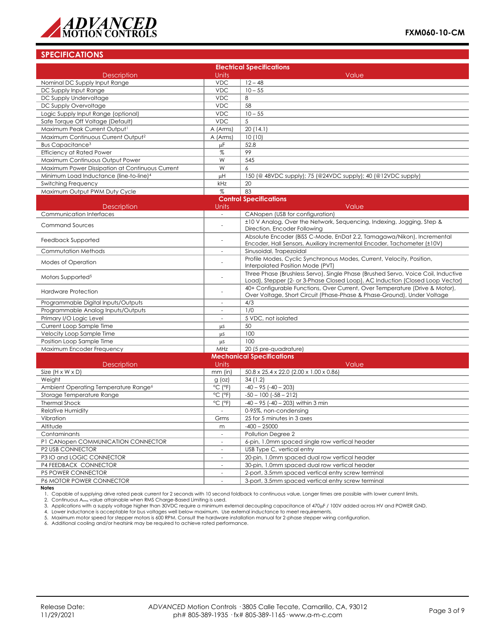

## **SPECIFICATIONS**

| <b>Electrical Specifications</b>                    |                              |                                                                                                                                                                    |  |  |  |
|-----------------------------------------------------|------------------------------|--------------------------------------------------------------------------------------------------------------------------------------------------------------------|--|--|--|
| <b>Description</b>                                  | Units                        | Value                                                                                                                                                              |  |  |  |
| Nominal DC Supply Input Range                       | <b>VDC</b>                   | $12 - 48$                                                                                                                                                          |  |  |  |
| DC Supply Input Range                               | <b>VDC</b>                   | $10 - 55$                                                                                                                                                          |  |  |  |
| DC Supply Undervoltage                              | <b>VDC</b>                   | 8                                                                                                                                                                  |  |  |  |
| DC Supply Overvoltage                               | <b>VDC</b>                   | 58                                                                                                                                                                 |  |  |  |
| Logic Supply Input Range (optional)                 | <b>VDC</b>                   | $10 - 55$                                                                                                                                                          |  |  |  |
| Safe Torque Off Voltage (Default)                   | <b>VDC</b>                   | 5                                                                                                                                                                  |  |  |  |
| Maximum Peak Current Output1                        | A (Arms)                     | 20(14.1)                                                                                                                                                           |  |  |  |
| Maximum Continuous Current Output <sup>2</sup>      | A (Arms)                     | 10(10)                                                                                                                                                             |  |  |  |
| Bus Capacitance <sup>3</sup>                        | μF                           | 52.8                                                                                                                                                               |  |  |  |
| <b>Efficiency at Rated Power</b>                    | $\%$                         | 99                                                                                                                                                                 |  |  |  |
| Maximum Continuous Output Power                     | W                            | 545                                                                                                                                                                |  |  |  |
| Maximum Power Dissipation at Continuous Current     | W                            | 6                                                                                                                                                                  |  |  |  |
| Minimum Load Inductance (line-to-line) <sup>4</sup> | μH                           | 150 (@ 48VDC supply); 75 (@24VDC supply); 40 (@12VDC supply)                                                                                                       |  |  |  |
| Switching Frequency                                 | kHz                          | 20                                                                                                                                                                 |  |  |  |
| Maximum Output PWM Duty Cycle                       | %                            | 83                                                                                                                                                                 |  |  |  |
|                                                     |                              | <b>Control Specifications</b>                                                                                                                                      |  |  |  |
| <b>Description</b>                                  | Units                        | Value                                                                                                                                                              |  |  |  |
| Communication Interfaces                            | $\sim$                       | CANopen (USB for configuration)                                                                                                                                    |  |  |  |
| <b>Command Sources</b>                              |                              | ±10 V Analog, Over the Network, Sequencing, Indexing, Jogging, Step &<br>Direction, Encoder Following                                                              |  |  |  |
| Feedback Supported                                  | $\overline{\phantom{a}}$     | Absolute Encoder (BiSS C-Mode, EnDat 2.2, Tamagawa/Nikon), Incremental<br>Encoder, Hall Sensors, Auxiliary Incremental Encoder, Tachometer (±10V)                  |  |  |  |
| Commutation Methods                                 | $\overline{\phantom{a}}$     | Sinusoidal, Trapezoidal                                                                                                                                            |  |  |  |
| Modes of Operation                                  |                              | Profile Modes, Cyclic Synchronous Modes, Current, Velocity, Position,<br>Interpolated Position Mode (PVT)                                                          |  |  |  |
| Motors Supported <sup>5</sup>                       | $\overline{a}$               | Three Phase (Brushless Servo), Single Phase (Brushed Servo, Voice Coil, Inductive<br>Load), Stepper (2- or 3-Phase Closed Loop), AC Induction (Closed Loop Vector) |  |  |  |
| Hardware Protection                                 |                              | 40+ Configurable Functions, Over Current, Over Temperature (Drive & Motor),<br>Over Voltage, Short Circuit (Phase-Phase & Phase-Ground), Under Voltage             |  |  |  |
| Programmable Digital Inputs/Outputs                 | $\overline{\phantom{a}}$     | 4/3                                                                                                                                                                |  |  |  |
| Programmable Analog Inputs/Outputs                  |                              | 1/0                                                                                                                                                                |  |  |  |
| Primary I/O Logic Level                             | $\sim$                       | 5 VDC, not isolated                                                                                                                                                |  |  |  |
| Current Loop Sample Time                            | μS                           | 50                                                                                                                                                                 |  |  |  |
| Velocity Loop Sample Time                           | μS                           | 100                                                                                                                                                                |  |  |  |
| Position Loop Sample Time                           | μS                           | 100                                                                                                                                                                |  |  |  |
| Maximum Encoder Frequency                           | MHz                          | 20 (5 pre-quadrature)                                                                                                                                              |  |  |  |
|                                                     |                              | <b>Mechanical Specifications</b>                                                                                                                                   |  |  |  |
| Description                                         | Units                        | Value                                                                                                                                                              |  |  |  |
| Size $(H \times W \times D)$                        | $mm$ (in)                    | 50.8 x 25.4 x 22.0 (2.00 x 1.00 x 0.86)                                                                                                                            |  |  |  |
| Weight                                              | $g$ (oz)                     | 34(1.2)                                                                                                                                                            |  |  |  |
| Ambient Operating Temperature Range <sup>6</sup>    | $^{\circ}$ C ( $^{\circ}$ F) | $-40 - 95$ $(-40 - 203)$                                                                                                                                           |  |  |  |
| Storage Temperature Range                           | $^{\circ}$ C ( $^{\circ}$ F) | $-50 - 100$ $(-58 - 212)$                                                                                                                                          |  |  |  |
| <b>Thermal Shock</b>                                | $^{\circ}$ C ( $^{\circ}$ F) | $-40 - 95$ ( $-40 - 203$ ) within 3 min                                                                                                                            |  |  |  |
| <b>Relative Humidity</b>                            |                              | 0-95%, non-condensing                                                                                                                                              |  |  |  |
| Vibration                                           | Grms                         | 25 for 5 minutes in 3 axes                                                                                                                                         |  |  |  |
| Altitude                                            | m                            | $-400 - 25000$                                                                                                                                                     |  |  |  |
| Contaminants                                        | $\bar{a}$                    | Pollution Degree 2                                                                                                                                                 |  |  |  |
| P1 CANopen COMMUNICATION CONNECTOR                  | $\overline{\phantom{a}}$     | 6-pin, 1.0mm spaced single row vertical header                                                                                                                     |  |  |  |
| P2 USB CONNECTOR                                    |                              | USB Type C, vertical entry                                                                                                                                         |  |  |  |
| P3 IO and LOGIC CONNECTOR                           | $\overline{\phantom{a}}$     | 20-pin, 1.0mm spaced dual row vertical header                                                                                                                      |  |  |  |
| P4 FEEDBACK CONNECTOR                               | $\overline{\phantom{a}}$     | 30-pin, 1.0mm spaced dual row vertical header                                                                                                                      |  |  |  |
| <b>P5 POWER CONNECTOR</b>                           | $\overline{\phantom{a}}$     | 2-port, 3.5mm spaced vertical entry screw terminal                                                                                                                 |  |  |  |
| P6 MOTOR POWER CONNECTOR                            | $\overline{\phantom{a}}$     | 3-port, 3.5mm spaced vertical entry screw terminal                                                                                                                 |  |  |  |

**Notes**<br>1. Capable of supplying drive rated peak current for 2 seconds with 10 second foldback to continuous value. Longer times are possible with lower current limits.<br>2. Continuous A<sub>rms</sub> value attainable when RMS Charge

3. Applications with a supply voltage higher than 30VDC require a minimum external decoupling capacitance of 470µF / 100V added across HV and POWER GND.

4. Lower inductance is acceptable for bus voltages well below maximum. Use external inductance to meet requirements.<br>5. Maximum motor speed for stepper motors is 600 RPM. Consult the hardware installation manual for 2-phas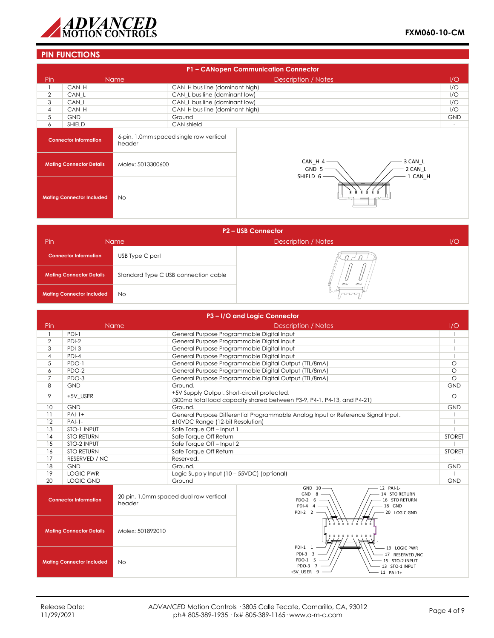

# **PIN FUNCTIONS**

|                                        | P1 - CANopen Communication Connector |                   |                                         |                                                               |                          |  |  |
|----------------------------------------|--------------------------------------|-------------------|-----------------------------------------|---------------------------------------------------------------|--------------------------|--|--|
| Pin.                                   |                                      | <b>Name</b>       |                                         | Description / Notes                                           | 1/O                      |  |  |
|                                        | CAN H                                |                   | CAN_H bus line (dominant high)          |                                                               | I/O                      |  |  |
| 2                                      | CAN L                                |                   | CAN_L bus line (dominant low)           |                                                               | I/O                      |  |  |
| 3                                      | CAN L                                |                   | CAN_L bus line (dominant low)           |                                                               | I/O                      |  |  |
| 4                                      | CAN H                                |                   | CAN_H bus line (dominant high)          |                                                               | I/O                      |  |  |
| 5                                      | <b>GND</b>                           |                   | Ground                                  |                                                               | <b>GND</b>               |  |  |
| 6                                      | SHIELD                               |                   | CAN shield                              |                                                               | $\overline{\phantom{a}}$ |  |  |
| <b>Connector Information</b><br>header |                                      |                   | 6-pin, 1.0mm spaced single row vertical |                                                               |                          |  |  |
| <b>Mating Connector Details</b>        |                                      | Molex: 5013300600 |                                         | 3 CAN L<br>CAN_H 4<br>GND 5<br>2 CAN_L<br>1 CAN H<br>SHIELD 6 |                          |  |  |
|                                        | <b>Mating Connector Included</b>     | No                |                                         |                                                               |                          |  |  |

| P2 - USB Connector                                                      |                 |                            |     |  |  |  |  |
|-------------------------------------------------------------------------|-----------------|----------------------------|-----|--|--|--|--|
| Pin                                                                     | Name            | <b>Description / Notes</b> | 1/O |  |  |  |  |
| <b>Connector Information</b>                                            | USB Type C port |                            |     |  |  |  |  |
| Standard Type C USB connection cable<br><b>Mating Connector Details</b> |                 | <b>DEC</b><br><b>DALL</b>  |     |  |  |  |  |
| <b>Mating Connector Included</b>                                        | <b>No</b>       | nnn                        |     |  |  |  |  |

|                                                                                              | P3-I/O and Logic Connector                        |                                                                    |                                             |                                                                                                                                  |               |  |  |
|----------------------------------------------------------------------------------------------|---------------------------------------------------|--------------------------------------------------------------------|---------------------------------------------|----------------------------------------------------------------------------------------------------------------------------------|---------------|--|--|
| Pin                                                                                          |                                                   | Name                                                               |                                             | <b>Description / Notes</b>                                                                                                       | 1/O           |  |  |
| $\mathbf{1}$                                                                                 | $PDI-1$                                           | General Purpose Programmable Digital Input                         |                                             |                                                                                                                                  |               |  |  |
| $\overline{2}$                                                                               | $PDI-2$                                           |                                                                    | General Purpose Programmable Digital Input  |                                                                                                                                  |               |  |  |
| 3                                                                                            | PDI-3                                             |                                                                    | General Purpose Programmable Digital Input  |                                                                                                                                  |               |  |  |
| $\overline{4}$                                                                               | $PDI-4$                                           |                                                                    | General Purpose Programmable Digital Input  |                                                                                                                                  |               |  |  |
| 5                                                                                            | PDO-1                                             |                                                                    |                                             | General Purpose Programmable Digital Output (TTL/8mA)                                                                            | $\circ$       |  |  |
| 6                                                                                            | PDO-2                                             |                                                                    |                                             | General Purpose Programmable Digital Output (TTL/8mA)                                                                            | $\circ$       |  |  |
| $\overline{7}$                                                                               | PDO-3                                             |                                                                    |                                             | General Purpose Programmable Digital Output (TTL/8mA)                                                                            | $\Omega$      |  |  |
| 8                                                                                            | <b>GND</b>                                        |                                                                    | Ground.                                     |                                                                                                                                  | <b>GND</b>    |  |  |
| 9                                                                                            | +5V USER                                          |                                                                    | +5V Supply Output. Short-circuit protected. | (300ma total load capacity shared between P3-9, P4-1, P4-13, and P4-21)                                                          | $\circ$       |  |  |
| 10                                                                                           | <b>GND</b>                                        |                                                                    | Ground.                                     |                                                                                                                                  | <b>GND</b>    |  |  |
| 11                                                                                           | $PAI-1+$                                          |                                                                    |                                             | General Purpose Differential Programmable Analog Input or Reference Signal Input.                                                |               |  |  |
| 12                                                                                           | $PAI-1-$                                          |                                                                    | ±10VDC Range (12-bit Resolution)            |                                                                                                                                  |               |  |  |
| 13                                                                                           | STO-1 INPUT                                       | Safe Torque Off-Input 1                                            |                                             |                                                                                                                                  |               |  |  |
| 14                                                                                           | <b>STO RETURN</b>                                 | Safe Torque Off Return                                             |                                             |                                                                                                                                  | <b>STORET</b> |  |  |
| 15                                                                                           | Safe Torque Off-Input 2<br>STO-2 INPUT            |                                                                    |                                             |                                                                                                                                  |               |  |  |
|                                                                                              | Safe Torque Off Return<br>16<br><b>STO RETURN</b> |                                                                    |                                             |                                                                                                                                  | <b>STORET</b> |  |  |
| 17                                                                                           | RESERVED / NC                                     |                                                                    | Reserved.                                   |                                                                                                                                  |               |  |  |
| 18                                                                                           | <b>GND</b>                                        |                                                                    | Ground.                                     |                                                                                                                                  | <b>GND</b>    |  |  |
| 19                                                                                           | <b>LOGIC PWR</b>                                  |                                                                    | Logic Supply Input (10 - 55VDC) (optional)  |                                                                                                                                  |               |  |  |
| 20                                                                                           | <b>LOGIC GND</b>                                  |                                                                    | Ground                                      |                                                                                                                                  | <b>GND</b>    |  |  |
|                                                                                              | <b>Connector Information</b>                      | header                                                             | 20-pin, 1.0mm spaced dual row vertical      | GND 10<br>12 PAI-1-<br>GND 8<br>14 STO RETURN<br>PDO-2 6<br>16 STO RETURN<br>$PDI-4$ 4<br>$-18$ GND<br>20 LOGIC GND<br>$PDI-2$ 2 |               |  |  |
|                                                                                              | <b>Mating Connector Details</b>                   | Molex: 501892010                                                   |                                             | PDI-1 1<br>19 LOGIC PWR                                                                                                          |               |  |  |
| PDI-3 3<br>PDO-1 5<br><b>Mating Connector Included</b><br><b>No</b><br>PDO-3 7<br>+5V USER 9 |                                                   | - 17 RESERVED /NC<br>15 STO-2 INPUT<br>13 STO-1 INPUT<br>11 PAI-1+ |                                             |                                                                                                                                  |               |  |  |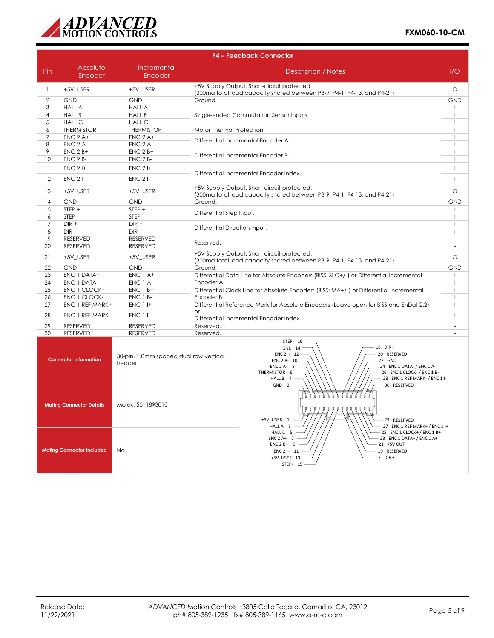

| <b>P4 - Feedback Connector</b> |                                  |                                                  |                                                                                                                        |                                                                                                                                                                                                                                                                        |                          |
|--------------------------------|----------------------------------|--------------------------------------------------|------------------------------------------------------------------------------------------------------------------------|------------------------------------------------------------------------------------------------------------------------------------------------------------------------------------------------------------------------------------------------------------------------|--------------------------|
| Pin                            | Absolute<br>Encoder              | Incremental<br>Encoder                           |                                                                                                                        | <b>Description / Notes</b>                                                                                                                                                                                                                                             | 1/O                      |
| $\mathbf{1}$                   | +5V_USER                         | +5V_USER                                         |                                                                                                                        | +5V Supply Output. Short-circuit protected.<br>(300ma total load capacity shared between P3-9, P4-1, P4-13, and P4-21)                                                                                                                                                 | $\circ$                  |
| $\overline{2}$                 | <b>GND</b>                       | <b>GND</b>                                       | Ground.                                                                                                                |                                                                                                                                                                                                                                                                        | <b>GND</b>               |
| 3                              | <b>HALL A</b>                    | <b>HALL A</b>                                    |                                                                                                                        |                                                                                                                                                                                                                                                                        |                          |
| 4                              | <b>HALL B</b>                    | <b>HALL B</b>                                    |                                                                                                                        | Single-ended Commutation Sensor Inputs.                                                                                                                                                                                                                                | $\overline{\phantom{a}}$ |
| 5                              | <b>HALL C</b>                    | <b>HALL C</b>                                    |                                                                                                                        |                                                                                                                                                                                                                                                                        |                          |
| 6                              | <b>THERMISTOR</b>                | <b>THERMISTOR</b>                                | Motor Thermal Protection.                                                                                              |                                                                                                                                                                                                                                                                        | $\mathbf{I}$             |
| 7                              | $ENC$ 2 A+                       | $ENC$ 2 A+                                       |                                                                                                                        |                                                                                                                                                                                                                                                                        | $\overline{\phantom{a}}$ |
| 8                              | ENC 2 A-                         | <b>ENC 2 A-</b>                                  |                                                                                                                        | Differential Incremental Encoder A.                                                                                                                                                                                                                                    | $\overline{\phantom{a}}$ |
| 9                              | $ENC$ 2 $B+$                     | $ENC$ 2 $B+$                                     |                                                                                                                        |                                                                                                                                                                                                                                                                        | H                        |
| 10                             | ENC 2 B-                         | ENC 2 B-                                         |                                                                                                                        | Differential Incremental Encoder B.                                                                                                                                                                                                                                    | $\mathbf{I}$             |
| 11                             | $ENC$ 2 I+                       | $ENC$ 2 $H$                                      |                                                                                                                        | Differential Incremental Encoder Index.                                                                                                                                                                                                                                | $\overline{1}$           |
| 12                             | $ENC$ 2 $I-$                     | $ENC$ 2 $I$ -                                    |                                                                                                                        |                                                                                                                                                                                                                                                                        | $\overline{1}$           |
| 13                             | +5V_USER                         | +5V_USER                                         |                                                                                                                        | +5V Supply Output. Short-circuit protected.<br>(300ma total load capacity shared between P3-9, P4-1, P4-13, and P4-21)                                                                                                                                                 | $\circ$                  |
| 14                             | <b>GND</b>                       | <b>GND</b>                                       | Ground.                                                                                                                |                                                                                                                                                                                                                                                                        | <b>GND</b>               |
| 15                             | STEP +                           | STEP +                                           | Differential Step Input.                                                                                               |                                                                                                                                                                                                                                                                        | $\mathbf{I}$             |
| 16                             | STEP-                            | STEP-                                            |                                                                                                                        |                                                                                                                                                                                                                                                                        | H                        |
| 17                             | $DIR +$                          | $DIR +$                                          | Differential Direction Input.                                                                                          |                                                                                                                                                                                                                                                                        | $\mathbf{I}$             |
| 18                             | $DIR -$                          | $DIR -$                                          |                                                                                                                        |                                                                                                                                                                                                                                                                        | J.                       |
| 19                             | <b>RESERVED</b>                  | <b>RESERVED</b>                                  | Reserved.                                                                                                              |                                                                                                                                                                                                                                                                        | $\sim$                   |
| 20                             | <b>RESERVED</b>                  | <b>RESERVED</b>                                  |                                                                                                                        |                                                                                                                                                                                                                                                                        | $\sim$                   |
| 21                             | +5V_USER                         | +5V_USER                                         | +5V Supply Output. Short-circuit protected.<br>(300ma total load capacity shared between P3-9, P4-1, P4-13, and P4-21) |                                                                                                                                                                                                                                                                        | $\circlearrowright$      |
| 22                             | <b>GND</b>                       | <b>GND</b>                                       | Ground.                                                                                                                |                                                                                                                                                                                                                                                                        | <b>GND</b>               |
| 23                             | ENC 1 DATA+                      | ENC 1 A+                                         |                                                                                                                        | Differential Data Line for Absolute Encoders (BiSS: SLO+/-) or Differential Incremental                                                                                                                                                                                |                          |
| 24                             | ENC 1 DATA-                      | ENC 1 A-                                         | Encoder A.                                                                                                             |                                                                                                                                                                                                                                                                        | $\overline{\phantom{a}}$ |
| 25                             | ENC 1 CLOCK+                     | $ENC$ 1 $B+$                                     |                                                                                                                        | Differential Clock Line for Absolute Encoders (BiSS: MA+/-) or Differential Incremental                                                                                                                                                                                | $\mathbf{I}$             |
| 26                             | ENC 1 CLOCK-                     | ENC 1 B-                                         | Encoder B.                                                                                                             |                                                                                                                                                                                                                                                                        | $\mathbf{I}$             |
| 27                             | ENC 1 REF MARK+                  | <b>ENC 1 I+</b>                                  | $\alpha$ r                                                                                                             | Differential Reference Mark for Absolute Encoders (Leave open for BiSS and EnDat 2.2)                                                                                                                                                                                  | $\overline{\phantom{a}}$ |
| 28                             | ENC 1 REF MARK-                  | $ENC 1$ $I$ -                                    |                                                                                                                        | Differential Incremental Encoder Index.                                                                                                                                                                                                                                | $\overline{1}$           |
| 29                             | <b>RESERVED</b>                  | <b>RESERVED</b>                                  | Reserved.                                                                                                              |                                                                                                                                                                                                                                                                        | ÷.                       |
| 30                             | <b>RESERVED</b>                  | <b>RESERVED</b>                                  | Reserved.                                                                                                              |                                                                                                                                                                                                                                                                        |                          |
|                                | <b>Connector Information</b>     | 30-pin, 1.0mm spaced dual row vertical<br>header |                                                                                                                        | STEP- 16<br>18 DIR-<br>GND 14<br>20 RESERVED<br>ENC 2 I- 12<br>ENC 2 B- 10<br>22 GND<br>- 24 ENC 1 DATA- / ENC 1 A-<br>ENC $2A - 8$ -<br>THERMISTOR 6 -<br>- 26 ENC 1 CLOCK- / ENC 1 B-<br>HALL B 4 -<br>- 28 ENC 1 REF MARK- / ENC 1 I-<br>$GND 2 -$<br>- 30 RESERVED |                          |
|                                | <b>Mating Connector Details</b>  | Molex: 5011893010                                |                                                                                                                        | . <i>.</i> .<br>g.<br>.<br>+5V USER 1<br>- 29 RESERVED<br>HALL A 3<br>27 ENC 1 REF MARK+ / ENC 1 I+<br>HALL C 5 ·                                                                                                                                                      |                          |
|                                | <b>Mating Connector Included</b> | No                                               |                                                                                                                        | 25 ENC 1 CLOCK+/ENC 1 B+<br>23 ENC 1 DATA+ / ENC 1 A+<br>ENC $2A+7$<br>$ENC2B+9$ -<br>$-21$ +5V OUT<br>$ENC2$  + 11 -<br>- 19 RESERVED                                                                                                                                 |                          |

 $19$  Rese.<br> $-17$  DIR +

+5V\_USER 13 -<br>STEP+ 15 -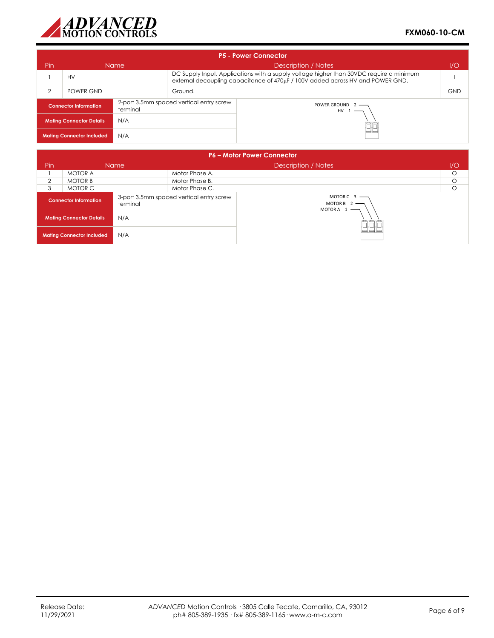

| <b>P5 - Power Connector</b>                                                                              |           |             |                                                                                                                                                                           |  |     |  |
|----------------------------------------------------------------------------------------------------------|-----------|-------------|---------------------------------------------------------------------------------------------------------------------------------------------------------------------------|--|-----|--|
| Pin                                                                                                      |           | <b>Name</b> | Description / Notes<br>1/O                                                                                                                                                |  |     |  |
|                                                                                                          | HV        |             | DC Supply Input. Applications with a supply voltage higher than 30VDC require a minimum<br>external decoupling capacitance of 470µF / 100V added across HV and POWER GND. |  |     |  |
| 2                                                                                                        | POWER GND |             | Ground.                                                                                                                                                                   |  | GND |  |
| 2-port 3.5mm spaced vertical entry screw<br>POWER GROUND 2 -<br><b>Connector Information</b><br>terminal |           | $HV 1$ —    |                                                                                                                                                                           |  |     |  |
| N/A<br><b>Mating Connector Details</b>                                                                   |           |             |                                                                                                                                                                           |  |     |  |
| N/A<br><b>Mating Connector Included</b>                                                                  |           |             | ٢F                                                                                                                                                                        |  |     |  |

| <b>P6 - Motor Power Connector</b> |                                  |          |                                          |                                               |     |  |
|-----------------------------------|----------------------------------|----------|------------------------------------------|-----------------------------------------------|-----|--|
| <b>Pin</b>                        |                                  | Name     |                                          | Description / Notes                           | I/O |  |
|                                   | <b>MOTOR A</b>                   |          | Motor Phase A.                           |                                               |     |  |
| $\overline{2}$                    | <b>MOTOR B</b>                   |          | Motor Phase B.                           |                                               | O   |  |
| 3                                 | MOTOR C                          |          | Motor Phase C.                           |                                               |     |  |
|                                   | <b>Connector Information</b>     | terminal | 3-port 3.5mm spaced vertical entry screw | MOTORC $3$ —<br>MOTOR B $2$ -<br>MOTORA $1$ – |     |  |
|                                   | <b>Mating Connector Details</b>  | N/A      |                                          |                                               |     |  |
|                                   | <b>Mating Connector Included</b> | N/A      |                                          | $\overline{\phantom{0}}$                      |     |  |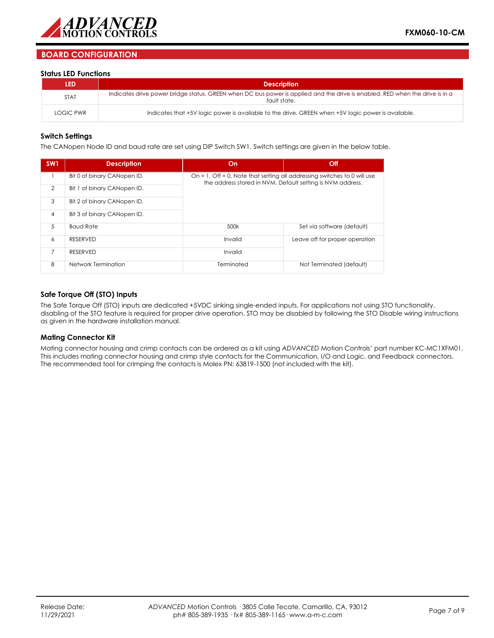

## **BOARD CONFIGURATION**

#### **Status LED Functions**

| LED              | <b>Description</b>                                                                                                                          |
|------------------|---------------------------------------------------------------------------------------------------------------------------------------------|
| <b>STAT</b>      | Indicates drive power bridge status. GREEN when DC bus power is applied and the drive is enabled. RED when the drive is in a<br>fault state |
| <b>LOGIC PWR</b> | Indicates that +5V logic power is available to the drive. GREEN when +5V logic power is available.                                          |

#### **Switch Settings**

The CANopen Node ID and baud rate are set using DIP Switch SW1. Switch settings are given in the below table.

| SW <sub>1</sub> | <b>Description</b>          | On                                                                                                                                     | Off                            |
|-----------------|-----------------------------|----------------------------------------------------------------------------------------------------------------------------------------|--------------------------------|
|                 | Bit 0 of binary CANopen ID. | On = 1, Off = 0. Note that setting all addressing switches to 0 will use<br>the address stored in NVM. Default setting is NVM address. |                                |
| $\overline{2}$  | Bit 1 of binary CANopen ID. |                                                                                                                                        |                                |
| 3               | Bit 2 of binary CANopen ID. |                                                                                                                                        |                                |
| $\overline{4}$  | Bit 3 of binary CANopen ID. |                                                                                                                                        |                                |
| 5               | <b>Baud Rate</b>            | 500k                                                                                                                                   | Set via software (default)     |
| 6               | <b>RESERVED</b>             | Invalid                                                                                                                                | Leave off for proper operation |
| $\overline{7}$  | <b>RESERVED</b>             | Invalid                                                                                                                                |                                |
| 8               | Network Termination         | Terminated                                                                                                                             | Not Terminated (default)       |

### **Safe Torque Off (STO) Inputs**

The Safe Torque Off (STO) inputs are dedicated +5VDC sinking single-ended inputs. For applications not using STO functionality, disabling of the STO feature is required for proper drive operation. STO may be disabled by following the STO Disable wiring instructions as given in the hardware installation manual.

#### **Mating Connector Kit**

Mating connector housing and crimp contacts can be ordered as a kit using *ADVANCED* Motion Controls' part number KC-MC1XFM01. This includes mating connector housing and crimp style contacts for the Communication, I/O and Logic, and Feedback connectors. The recommended tool for crimping the contacts is Molex PN: 63819-1500 (not included with the kit).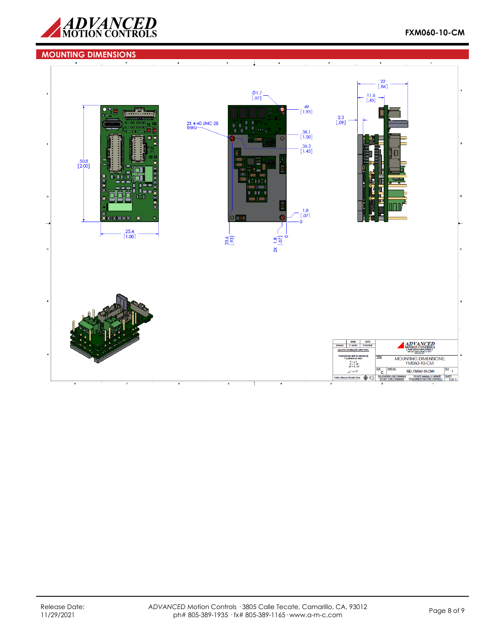

#### **MOUNTING DIMENSIONS**Ţ  $\overline{\mathbf{2}}$  $\begin{bmatrix} 22 \\ .86 \end{bmatrix}$  $\frac{\phi}{\phi}$ 1.7<br>[.07]  $\begin{bmatrix} 11.6 \\ 1.45 \end{bmatrix}$  $\rightarrow$  $\begin{array}{c} 49 \\ [1.93] \end{array}$ **The Second** ٠ Б  $\begin{bmatrix} 2.3 \\ .09 \end{bmatrix}$ 2X 4-40 UNC-2B  $\frac{38.1}{[1.50]}$  $\begin{bmatrix} 36.3 \\ 1.43 \end{bmatrix}$  $\frac{50.8}{[2.00]}$  $\begin{bmatrix} 1.8 \\ 0.07 \end{bmatrix}$ 4 r.  $\overline{\mathbb{L}}$  $\ddot{\mathbf{0}}$  $\begin{bmatrix} 25.4 \\ 1.00 \end{bmatrix}$ 23.6  $\frac{2x}{[.07]}$ NAME DATE<br>DRAWN P. MEAD 07/02/202 ADVANCED UNLES ASE SP **FIED** :<br>NSIONS ARE IN MM (INCH)<br>TOLERANCES ARE: MOUNTING DIMENSIONS;<br>FM060-10-CM  $X = \pm 5$ <br> $X = \pm .25$ <br> $XX = \pm .127$  $rac{\frac{\text{size}}{\text{max}}}{\text{sum}}$  $rac{rev}{1}$ DWG NO. MD\_FM060-10-CMA  $\angle$  = ± 5° DO NOT MANUALLY UPDATE SHEET THIRD ANGLE PROJECTION @C  $\frac{50}{2}$